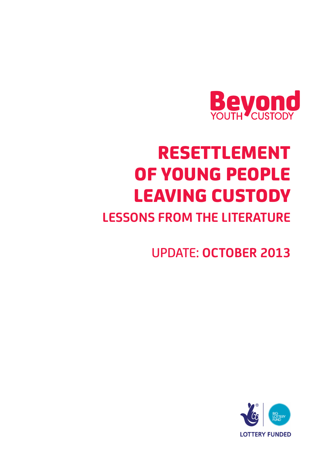

# RESETTLEMENT OF YOUNG PEOPLE LEAVING CUSTODY

## **LESSONS FROM THE LITERATURE**

UPDATE: **OCTOBER 2013**

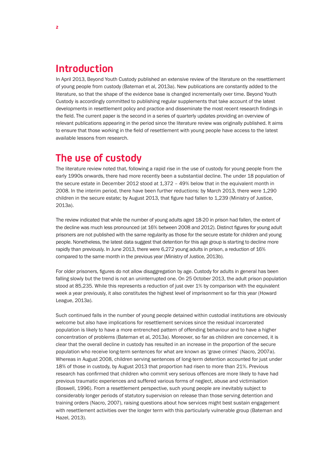#### **Introduction**

In April 2013, Beyond Youth Custody published an extensive review of the literature on the resettlement of young people from custody (Bateman et al, 2013a). New publications are constantly added to the literature, so that the shape of the evidence base is changed incrementally over time. Beyond Youth Custody is accordingly committed to publishing regular supplements that take account of the latest developments in resettlement policy and practice and disseminate the most recent research findings in the field. The current paper is the second in a series of quarterly updates providing an overview of relevant publications appearing in the period since the literature review was originally published. It aims to ensure that those working in the field of resettlement with young people have access to the latest available lessons from research.

#### **The use of custody**

The literature review noted that, following a rapid rise in the use of custody for young people from the early 1990s onwards, there had more recently been a substantial decline. The under 18 population of the secure estate in December 2012 stood at 1,372 – 49% below that in the equivalent month in 2008. In the interim period, there have been further reductions: by March 2013, there were 1,290 children in the secure estate; by August 2013, that figure had fallen to 1,239 (Ministry of Justice, 2013a).

The review indicated that while the number of young adults aged 18-20 in prison had fallen, the extent of the decline was much less pronounced (at 16% between 2008 and 2012). Distinct figures for young adult prisoners are not published with the same regularity as those for the secure estate for children and young people. Nonetheless, the latest data suggest that detention for this age group is starting to decline more rapidly than previously. In June 2013, there were 6,272 young adults in prison, a reduction of 16% compared to the same month in the previous year (Ministry of Justice, 2013b).

For older prisoners, figures do not allow disaggregation by age. Custody for adults in general has been falling slowly but the trend is not an uninterrupted one. On 25 October 2013, the adult prison population stood at 85,235. While this represents a reduction of just over 1% by comparison with the equivalent week a year previously, it also constitutes the highest level of imprisonment so far this year (Howard League, 2013a).

Such continued falls in the number of young people detained within custodial institutions are obviously welcome but also have implications for resettlement services since the residual incarcerated population is likely to have a more entrenched pattern of offending behaviour and to have a higher concentration of problems (Bateman et al, 2013a). Moreover, so far as children are concerned, it is clear that the overall decline in custody has resulted in an increase in the proportion of the secure population who receive long-term sentences for what are known as 'grave crimes' (Nacro, 2007a). Whereas in August 2008, children serving sentences of long-term detention accounted for just under 18% of those in custody, by August 2013 that proportion had risen to more than 21%. Previous research has confirmed that children who commit very serious offences are more likely to have had previous traumatic experiences and suffered various forms of neglect, abuse and victimisation (Boswell, 1996). From a resettlement perspective, such young people are inevitably subject to considerably longer periods of statutory supervision on release than those serving detention and training orders (Nacro, 2007), raising questions about how services might best sustain engagement with resettlement activities over the longer term with this particularly vulnerable group (Bateman and Hazel, 2013).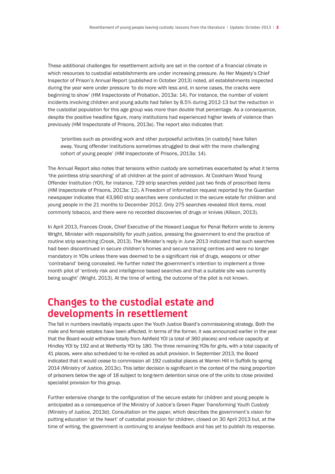These additional challenges for resettlement activity are set in the context of a financial climate in which resources to custodial establishments are under increasing pressure. As Her Majesty's Chief Inspector of Prison's Annual Report (published in October 2013) noted, all establishments inspected during the year were under pressure 'to do more with less and, in some cases, the cracks were beginning to show' (HM Inspectorate of Probation, 2013a: 14). For instance, the number of violent incidents involving children and young adults had fallen by 8.5% during 2012-13 but the reduction in the custodial population for this age group was more than double that percentage. As a consequence, despite the positive headline figure, many institutions had experienced higher levels of violence than previously (HM Inspectorate of Prisons, 2013a). The report also indicates that:

'priorities such as providing work and other purposeful activities [in custody] have fallen away. Young offender institutions sometimes struggled to deal with the more challenging cohort of young people' (HM Inspectorate of Prisons, 2013a: 14).

The Annual Report also notes that tensions within custody are sometimes exacerbated by what it terms 'the pointless strip searching' of all children at the point of admission. At Cookham Wood Young Offender Institution (YOI), for instance, 729 strip searches yielded just two finds of proscribed items (HM Inspectorate of Prisons, 2013a: 12). A Freedom of Information request reported by the Guardian newspaper indicates that 43,960 strip searches were conducted in the secure estate for children and young people in the 21 months to December 2012. Only 275 searches revealed illicit items, most commonly tobacco, and there were no recorded discoveries of drugs or knives (Allison, 2013).

In April 2013, Frances Crook, Chief Executive of the Howard League for Penal Reform wrote to Jeremy Wright, Minister with responsibility for youth justice, pressing the government to end the practice of routine strip searching (Crook, 2013). The Minister's reply in June 2013 indicated that such searches had been discontinued in secure children's homes and secure training centres and were no longer mandatory in YOIs unless there was deemed to be a significant risk of drugs, weapons or other 'contraband' being concealed. He further noted the government's intention to implement a three month pilot of 'entirely risk and intelligence based searches and that a suitable site was currently being sought' (Wright, 2013). At the time of writing, the outcome of the pilot is not known.

#### **Changes to the custodial estate and developments in resettlement**

The fall in numbers inevitably impacts upon the Youth Justice Board's commissioning strategy. Both the male and female estates have been affected. In terms of the former, it was announced earlier in the year that the Board would withdraw totally from Ashfield YOI (a total of 360 places) and reduce capacity at Hindley YOI by 192 and at Wetherby YOI by 180. The three remaining YOIs for girls, with a total capacity of 41 places, were also scheduled to be re-rolled as adult provision. In September 2013, the Board indicated that it would cease to commission all 192 custodial places at Warren Hill in Suffolk by spring 2014 (Ministry of Justice, 2013c). This latter decision is significant in the context of the rising proportion of prisoners below the age of 18 subject to long-term detention since one of the units to close provided specialist provision for this group.

Further extensive change to the configuration of the secure estate for children and young people is anticipated as a consequence of the Ministry of Justice's Green Paper *Transforming Youth Custody*  (Ministry of Justice, 2013d). Consultation on the paper, which describes the government's vision for putting education 'at the heart' of custodial provision for children, closed on 30 April 2013 but, at the time of writing, the government is continuing to analyse feedback and has yet to publish its response.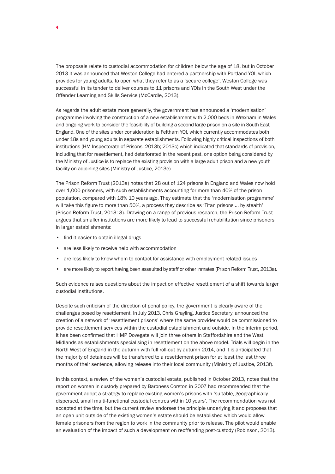The proposals relate to custodial accommodation for children below the age of 18, but in October 2013 it was announced that Weston College had entered a partnership with Portland YOI, which provides for young adults, to open what they refer to as a 'secure college'. Weston College was successful in its tender to deliver courses to 11 prisons and YOIs in the South West under the Offender Learning and Skills Service (McCardle, 2013).

As regards the adult estate more generally, the government has announced a 'modernisation' programme involving the construction of a new establishment with 2,000 beds in Wrexham in Wales and ongoing work to consider the feasibility of building a second large prison on a site in South East England. One of the sites under consideration is Feltham YOI, which currently accommodates both under 18s and young adults in separate establishments. Following highly critical inspections of both institutions (HM Inspectorate of Prisons, 2013b; 2013c) which indicated that standards of provision, including that for resettlement, had deteriorated in the recent past, one option being considered by the Ministry of Justice is to replace the existing provision with a large adult prison and a new youth facility on adjoining sites (Ministry of Justice, 2013e).

The Prison Reform Trust (2013a) notes that 28 out of 124 prisons in England and Wales now hold over 1,000 prisoners, with such establishments accounting for more than 40% of the prison population, compared with 18% 10 years ago. They estimate that the 'modernisation programme' will take this figure to more than 50%, a process they describe as 'Titan prisons … by stealth' (Prison Reform Trust, 2013: 3). Drawing on a range of previous research, the Prison Reform Trust argues that smaller institutions are more likely to lead to successful rehabilitation since prisoners in larger establishments:

- find it easier to obtain illegal drugs
- are less likely to receive help with accommodation
- are less likely to know whom to contact for assistance with employment related issues
- are more likely to report having been assaulted by staff or other inmates (Prison Reform Trust, 2013a).

Such evidence raises questions about the impact on effective resettlement of a shift towards larger custodial institutions.

Despite such criticism of the direction of penal policy, the government is clearly aware of the challenges posed by resettlement. In July 2013, Chris Grayling, Justice Secretary, announced the creation of a network of 'resettlement prisons' where the same provider would be commissioned to provide resettlement services within the custodial establishment and outside. In the interim period, it has been confirmed that HMP Dovegate will join three others in Staffordshire and the West Midlands as establishments specialising in resettlement on the above model. Trials will begin in the North West of England in the autumn with full roll-out by autumn 2014, and it is anticipated that the majority of detainees will be transferred to a resettlement prison for at least the last three months of their sentence, allowing release into their local community (Ministry of Justice, 2013f).

In this context, a review of the women's custodial estate, published in October 2013, notes that the report on women in custody prepared by Baroness Corston in 2007 had recommended that the government adopt a strategy to replace existing women's prisons with 'suitable, geographically dispersed, small multi-functional custodial centres within 10 years'. The recommendation was not accepted at the time, but the current review endorses the principle underlying it and proposes that an open unit outside of the existing women's estate should be established which would allow female prisoners from the region to work in the community prior to release. The pilot would enable an evaluation of the impact of such a development on reoffending post-custody (Robinson, 2013).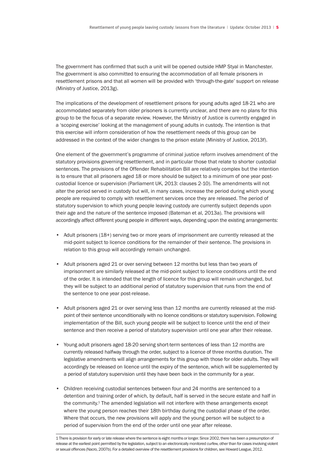The government has confirmed that such a unit will be opened outside HMP Styal in Manchester. The government is also committed to ensuring the accommodation of all female prisoners in resettlement prisons and that all women will be provided with 'through-the-gate' support on release (Ministry of Justice, 2013g).

The implications of the development of resettlement prisons for young adults aged 18-21 who are accommodated separately from older prisoners is currently unclear, and there are no plans for this group to be the focus of a separate review. However, the Ministry of Justice is currently engaged in a 'scoping exercise' looking at the management of young adults in custody. The intention is that this exercise will inform consideration of how the resettlement needs of this group can be addressed in the context of the wider changes to the prison estate (Ministry of Justice, 2013f).

One element of the government's programme of criminal justice reform involves amendment of the statutory provisions governing resettlement, and in particular those that relate to shorter custodial sentences. The provisions of the Offender Rehabilitation Bill are relatively complex but the intention is to ensure that all prisoners aged 18 or more should be subject to a minimum of one year postcustodial licence or supervision (Parliament UK, 2013: clauses 2-10). The amendments will not alter the period served in custody but will, in many cases, increase the period during which young people are required to comply with resettlement services once they are released. The period of statutory supervision to which young people leaving custody are currently subject depends upon their age and the nature of the sentence imposed (Bateman et al, 2013a). The provisions will accordingly affect different young people in different ways, depending upon the existing arrangements:

- Adult prisoners (18+) serving two or more years of imprisonment are currently released at the mid-point subject to licence conditions for the remainder of their sentence. The provisions in relation to this group will accordingly remain unchanged.
- Adult prisoners aged 21 or over serving between 12 months but less than two years of imprisonment are similarly released at the mid-point subject to licence conditions until the end of the order. It is intended that the length of licence for this group will remain unchanged, but they will be subject to an additional period of statutory supervision that runs from the end of the sentence to one year post-release.
- Adult prisoners aged 21 or over serving less than 12 months are currently released at the midpoint of their sentence unconditionally with no licence conditions or statutory supervision. Following implementation of the Bill, such young people will be subject to licence until the end of their sentence and then receive a period of statutory supervision until one year after their release.
- Young adult prisoners aged 18-20 serving short-term sentences of less than 12 months are currently released halfway through the order, subject to a licence of three months duration. The legislative amendments will align arrangements for this group with those for older adults. They will accordingly be released on licence until the expiry of the sentence, which will be supplemented by a period of statutory supervision until they have been back in the community for a year.
- Children receiving custodial sentences between four and 24 months are sentenced to a detention and training order of which, by default, half is served in the secure estate and half in the community.<sup>1</sup> The amended legislation will not interfere with these arrangements except where the young person reaches their 18th birthday during the custodial phase of the order. Where that occurs, the new provisions will apply and the young person will be subject to a period of supervision from the end of the order until one year after release.

1 There is provision for early or late release where the sentence is eight months or longer. Since 2002, there has been a presumption of release at the earliest point permitted by the legislation, subject to an electronically monitored curfew, other than for cases involving violent or sexual offences (Nacro, 2007b). For a detailed overview of the resettlement provisions for children, see Howard League, 2012.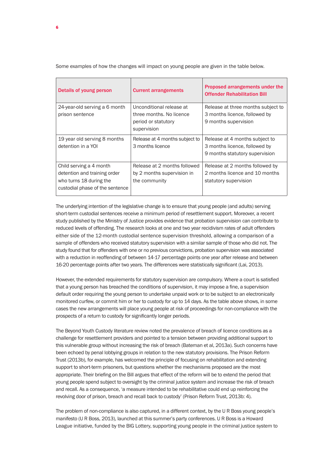Details of young person **Current arrangements** Proposed arrangements under the Offender Rehabilitation Bill 24-year-old serving a 6 month prison sentence Unconditional release at three months. No licence period or statutory supervision Release at three months subject to 3 months licence, followed by 9 months supervision 19 year old serving 8 months detention in a YOI Release at 4 months subject to 3 months licence Release at 4 months subject to 3 months licence, followed by 9 months statutory supervision Child serving a 4 month detention and training order who turns 18 during the custodial phase of the sentence Release at 2 months followed by 2 months supervision in the community Release at 2 months followed by 2 months licence and 10 months statutory supervision

Some examples of how the changes will impact on young people are given in the table below.

The underlying intention of the legislative change is to ensure that young people (and adults) serving short-term custodial sentences receive a minimum period of resettlement support. Moreover, a recent study published by the Ministry of Justice provides evidence that probation supervision can contribute to reduced levels of offending. The research looks at one and two year recidivism rates of adult offenders either side of the 12-month custodial sentence supervision threshold, allowing a comparison of a sample of offenders who received statutory supervision with a similar sample of those who did not. The study found that for offenders with one or no previous convictions, probation supervision was associated with a reduction in reoffending of between 14-17 percentage points one year after release and between 16-20 percentage points after two years. The differences were statistically significant (Lai, 2013).

However, the extended requirements for statutory supervision are compulsory. Where a court is satisfied that a young person has breached the conditions of supervision, it may impose a fine, a supervision default order requiring the young person to undertake unpaid work or to be subject to an electronically monitored curfew, or commit him or her to custody for up to 14 days. As the table above shows, in some cases the new arrangements will place young people at risk of proceedings for non-compliance with the prospects of a return to custody for significantly longer periods.

The Beyond Youth Custody literature review noted the prevalence of breach of licence conditions as a challenge for resettlement providers and pointed to a tension between providing additional support to this vulnerable group without increasing the risk of breach (Bateman et al, 2013a). Such concerns have been echoed by penal lobbying groups in relation to the new statutory provisions. The Prison Reform Trust (2013b), for example, has welcomed the principle of focusing on rehabilitation and extending support to short-term prisoners, but questions whether the mechanisms proposed are the most appropriate. Their briefing on the Bill argues that effect of the reform will be to extend the period that young people spend subject to oversight by the criminal justice system and increase the risk of breach and recall. As a consequence, 'a measure intended to be rehabilitative could end up reinforcing the revolving door of prison, breach and recall back to custody' (Prison Reform Trust, 2013b: 4).

The problem of non-compliance is also captured, in a different context, by the U R Boss young people's manifesto (U R Boss, 2013), launched at this summer's party conferences. U R Boss is a Howard League initiative, funded by the BIG Lottery, supporting young people in the criminal justice system to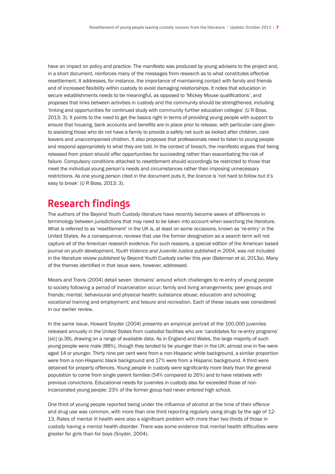have an impact on policy and practice. The manifesto was produced by young advisers to the project and, in a short document, reinforces many of the messages from research as to what constitutes effective resettlement. It addresses, for instance, the importance of maintaining contact with family and friends and of increased flexibility within custody to avoid damaging relationships. It notes that education in secure establishments needs to be meaningful, as opposed to 'Mickey Mouse qualifications', and proposes that links between activities in custody and the community should be strengthened, including 'linking and opportunities for continued study with community further education colleges' (U R Boss, 2013: 3). It points to the need to get the basics right in terms of providing young people with support to ensure that housing, bank accounts and benefits are in place prior to release, with particular care given to assisting those who do not have a family to provide a safety net such as looked after children, care leavers and unaccompanied children. It also proposes that professionals need to listen to young people and respond appropriately to what they are told. In the context of breach, the manifesto argues that being released from prison should offer opportunities for succeeding rather than exacerbating the risk of failure. Compulsory conditions attached to resettlement should accordingly be restricted to those that meet the individual young person's needs and circumstances rather than imposing unnecessary restrictions. As one young person cited in the document puts it, the licence is 'not hard to follow but it's easy to break' (U R Boss, 2013: 3).

### **Research findings**

The authors of the Beyond Youth Custody literature have recently become aware of differences in terminology between jurisdictions that may need to be taken into account when searching the literature. What is referred to as 'resettlement' in the UK is, at least on some occasions, known as 're-entry' in the United States. As a consequence, reviews that use the former designation as a search term will not capture all of the American research evidence. For such reasons, a special edition of the American based journal on youth development, *Youth Violence and Juvenile Justice* published in 2004, was not included in the literature review published by Beyond Youth Custody earlier this year (Bateman et al, 2013a). Many of the themes identified in that issue were, however, addressed.

Mears and Travis (2004) detail seven 'domains' around which challenges to re-entry of young people to society following a period of incarceration occur: family and living arrangements; peer groups and friends; mental, behavioural and physical health; substance abuse; education and schooling; vocational training and employment; and leisure and recreation. Each of these issues was considered in our earlier review.

In the same issue, Howard Snyder (2004) presents an empirical portrait of the 100,000 juveniles released annually in the United States from custodial facilities who are 'candidates for re-entry programs' [*sic*] (p.39), drawing on a range of available data. As in England and Wales, the large majority of such young people were male (88%), though they tended to be younger than in the UK: almost one in five were aged 14 or younger. Thirty nine per cent were from a non-Hispanic white background, a similar proportion were from a non-Hispanic black background and 17% were from a Hispanic background. A third were detained for property offences. Young people in custody were significantly more likely than the general population to come from single parent families (54% compared to 26%) and to have relatives with previous convictions. Educational needs for juveniles in custody also far exceeded those of nonincarcerated young people: 23% of the former group had never entered high school.

One third of young people reported being under the influence of alcohol at the time of their offence and drug use was common, with more than one third reporting regularly using drugs by the age of 12-13. Rates of mental ill health were also a significant problem with more than two thirds of those in custody having a mental health disorder. There was some evidence that mental health difficulties were greater for girls than for boys (Snyder, 2004).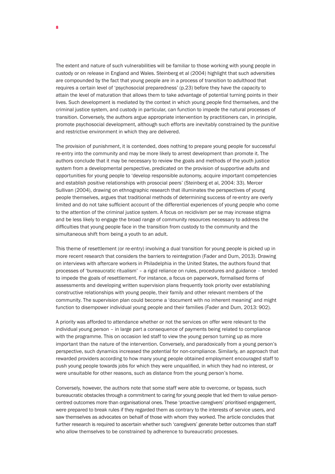The extent and nature of such vulnerabilities will be familiar to those working with young people in custody or on release in England and Wales. Steinberg et al (2004) highlight that such adversities are compounded by the fact that young people are in a process of transition to adulthood that requires a certain level of 'psychosocial preparedness' (p.23) before they have the capacity to attain the level of maturation that allows them to take advantage of potential turning points in their lives. Such development is mediated by the context in which young people find themselves, and the criminal justice system, and custody in particular, can function to impede the natural processes of transition. Conversely, the authors argue appropriate intervention by practitioners can, in principle, promote psychosocial development, although such efforts are inevitably constrained by the punitive and restrictive environment in which they are delivered.

The provision of punishment, it is contended, does nothing to prepare young people for successful re-entry into the community and may be more likely to arrest development than promote it. The authors conclude that it may be necessary to review the goals and methods of the youth justice system from a developmental perspective, predicated on the provision of supportive adults and opportunities for young people to 'develop responsible autonomy, acquire important competencies and establish positive relationships with prosocial peers' (Steinberg et al, 2004: 33). Mercer Sullivan (2004), drawing on ethnographic research that illuminates the perspectives of young people themselves, argues that traditional methods of determining success of re-entry are overly limited and do not take sufficient account of the differential experiences of young people who come to the attention of the criminal justice system. A focus on recidivism per se may increase stigma and be less likely to engage the broad range of community resources necessary to address the difficulties that young people face in the transition from custody to the community and the simultaneous shift from being a youth to an adult.

This theme of resettlement (or re-entry) involving a dual transition for young people is picked up in more recent research that considers the barriers to reintegration (Fader and Dum, 2013). Drawing on interviews with aftercare workers in Philadelphia in the United States, the authors found that processes of 'bureaucratic ritualism' – a rigid reliance on rules, procedures and guidance – tended to impede the goals of resettlement. For instance, a focus on paperwork, formalised forms of assessments and developing written supervision plans frequently took priority over establishing constructive relationships with young people, their family and other relevant members of the community. The supervision plan could become a 'document with no inherent meaning' and might function to disempower individual young people and their families (Fader and Dum, 2013: 902).

A priority was afforded to attendance whether or not the services on offer were relevant to the individual young person – in large part a consequence of payments being related to compliance with the programme. This on occasion led staff to view the young person turning up as more important than the nature of the intervention. Conversely, and paradoxically from a young person's perspective, such dynamics increased the potential for non-compliance. Similarly, an approach that rewarded providers according to how many young people obtained employment encouraged staff to push young people towards jobs for which they were unqualified, in which they had no interest, or were unsuitable for other reasons, such as distance from the young person's home.

Conversely, however, the authors note that some staff were able to overcome, or bypass, such bureaucratic obstacles through a commitment to caring for young people that led them to value personcentred outcomes more than organisational ones. These 'proactive caregivers' prioritised engagement, were prepared to break rules if they regarded them as contrary to the interests of service users, and saw themselves as advocates on behalf of those with whom they worked. The article concludes that further research is required to ascertain whether such 'caregivers' generate better outcomes than staff who allow themselves to be constrained by adherence to bureaucratic processes.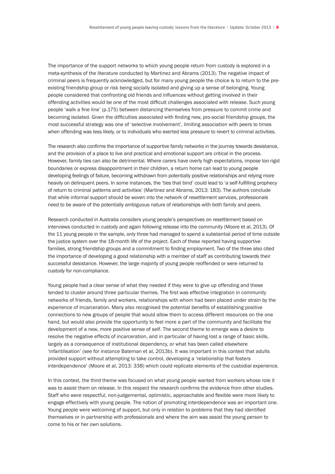The importance of the support networks to which young people return from custody is explored in a meta-synthesis of the literature conducted by Martinez and Abrams (2013). The negative impact of criminal peers is frequently acknowledged, but for many young people the choice is to return to the preexisting friendship group or risk being socially isolated and giving up a sense of belonging. Young people considered that confronting old friends and influences without getting involved in their offending activities would be one of the most difficult challenges associated with release. Such young people 'walk a fine line' (p.175) between distancing themselves from pressure to commit crime and becoming isolated. Given the difficulties associated with finding new, pro-social friendship groups, the most successful strategy was one of 'selective involvement', limiting association with peers to times when offending was less likely, or to individuals who exerted less pressure to revert to criminal activities.

The research also confirms the importance of supportive family networks in the journey towards desistance, and the provision of a place to live and practical and emotional support are critical in the process. However, family ties can also be detrimental. Where carers have overly high expectations, impose too rigid boundaries or express disappointment in their children, a return home can lead to young people developing feelings of failure, becoming withdrawn from potentially positive relationships and relying more heavily on delinquent peers. In some instances, the 'ties that bind' could lead to 'a self-fulfilling prophecy of return to criminal patterns and activities' (Martinez and Abrams, 2013: 183). The authors conclude that while informal support should be woven into the network of resettlement services, professionals need to be aware of the potentially ambiguous nature of relationships with both family and peers.

Research conducted in Australia considers young people's perspectives on resettlement based on interviews conducted in custody and again following release into the community (Moore et al, 2013). Of the 11 young people in the sample, only three had managed to spend a substantial period of time outside the justice system over the 18-month life of the project. Each of these reported having supportive families, strong friendship groups and a commitment to finding employment. Two of the three also cited the importance of developing a good relationship with a member of staff as contributing towards their successful desistance. However, the large majority of young people reoffended or were returned to custody for non-compliance.

Young people had a clear sense of what they needed if they were to give up offending and these tended to cluster around three particular themes. The first was effective integration in community networks of friends, family and workers, relationships with whom had been placed under strain by the experience of incarceration. Many also recognised the potential benefits of establishing positive connections to new groups of people that would allow them to access different resources on the one hand, but would also provide the opportunity to feel more a part of the community and facilitate the development of a new, more positive sense of self. The second theme to emerge was a desire to resolve the negative effects of incarceration, and in particular of having lost a range of basic skills, largely as a consequence of institutional dependency, or what has been called elsewhere 'infantilisation' (see for instance Bateman et al, 2013b). It was important in this context that adults provided support without attempting to take control, developing a 'relationship that fosters interdependence' (Moore et al, 2013: 338) which could replicate elements of the custodial experience.

In this context, the third theme was focused on what young people wanted from workers whose role it was to assist them on release. In this respect the research confirms the evidence from other studies. Staff who were respectful, non-judgemental, optimistic, approachable and flexible were more likely to engage effectively with young people. The notion of promoting interdependence was an important one. Young people were welcoming of support, but only in relation to problems that they had identified themselves or in partnership with professionals and where the aim was assist the young person to come to his or her own solutions.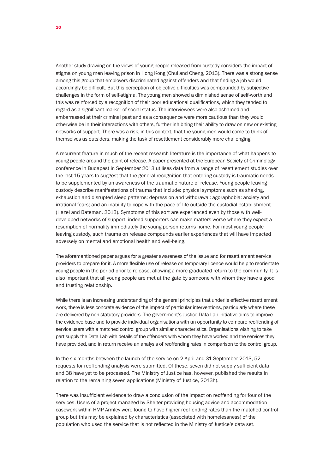Another study drawing on the views of young people released from custody considers the impact of stigma on young men leaving prison in Hong Kong (Chui and Cheng, 2013). There was a strong sense among this group that employers discriminated against offenders and that finding a job would accordingly be difficult. But this perception of objective difficulties was compounded by subjective challenges in the form of self-stigma. The young men showed a diminished sense of self-worth and this was reinforced by a recognition of their poor educational qualifications, which they tended to regard as a significant marker of social status. The interviewees were also ashamed and embarrassed at their criminal past and as a consequence were more cautious than they would otherwise be in their interactions with others, further inhibiting their ability to draw on new or existing networks of support. There was a risk, in this context, that the young men would come to think of themselves as outsiders, making the task of resettlement considerably more challenging.

A recurrent feature in much of the recent research literature is the importance of what happens to young people around the point of release. A paper presented at the European Society of Criminology conference in Budapest in September 2013 utilises data from a range of resettlement studies over the last 15 years to suggest that the general recognition that entering custody is traumatic needs to be supplemented by an awareness of the traumatic nature of release. Young people leaving custody describe manifestations of trauma that include: physical symptoms such as shaking, exhaustion and disrupted sleep patterns; depression and withdrawal; agoraphobia; anxiety and irrational fears; and an inability to cope with the pace of life outside the custodial establishment (Hazel and Bateman, 2013). Symptoms of this sort are experienced even by those with welldeveloped networks of support; indeed supporters can make matters worse where they expect a resumption of normality immediately the young person returns home. For most young people leaving custody, such trauma on release compounds earlier experiences that will have impacted adversely on mental and emotional health and well-being.

The aforementioned paper argues for a greater awareness of the issue and for resettlement service providers to prepare for it. A more flexible use of release on temporary licence would help to reorientate young people in the period prior to release, allowing a more graduated return to the community. It is also important that all young people are met at the gate by someone with whom they have a good and trusting relationship.

While there is an increasing understanding of the general principles that underlie effective resettlement work, there is less concrete evidence of the impact of particular interventions, particularly where these are delivered by non-statutory providers. The government's Justice Data Lab initiative aims to improve the evidence base and to provide individual organisations with an opportunity to compare reoffending of service users with a matched control group with similar characteristics. Organisations wishing to take part supply the Data Lab with details of the offenders with whom they have worked and the services they have provided, and in return receive an analysis of reoffending rates in comparison to the control group.

In the six months between the launch of the service on 2 April and 31 September 2013, 52 requests for reoffending analysis were submitted. Of these, seven did not supply sufficient data and 38 have yet to be processed. The Ministry of Justice has, however, published the results in relation to the remaining seven applications (Ministry of Justice, 2013h).

There was insufficient evidence to draw a conclusion of the impact on reoffending for four of the services. Users of a project managed by Shelter providing housing advice and accommodation casework within HMP Armley were found to have higher reoffending rates than the matched control group but this may be explained by characteristics (associated with homelessness) of the population who used the service that is not reflected in the Ministry of Justice's data set.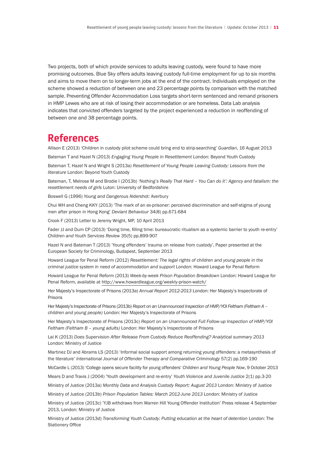Two projects, both of which provide services to adults leaving custody, were found to have more promising outcomes. Blue Sky offers adults leaving custody full-time employment for up to six months and aims to move them on to longer-term jobs at the end of the contract. Individuals employed on the scheme showed a reduction of between one and 23 percentage points by comparison with the matched sample. Preventing Offender Accommodation Loss targets short-term sentenced and remand prisoners in HMP Lewes who are at risk of losing their accommodation or are homeless. Data Lab analysis indicates that convicted offenders targeted by the project experienced a reduction in reoffending of between one and 38 percentage points.

#### **References**

Allison E (2013) 'Children in custody pilot scheme could bring end to strip-searching' *Guardian*, 16 August 2013

Bateman T and Hazel N (2013) *Engaging Young People in Resettlement* London: Beyond Youth Custody

Bateman T, Hazel N and Wright S (2013a) *Resettlement of Young People Leaving Custody: Lessons from the literature* London: Beyond Youth Custody

Bateman, T, Melrose M and Brodie I (2013b) *'Nothing's Really That Hard – You Can do it': Agency and fatalism: the resettlement needs of girls* Luton: University of Bedfordshire

Boswell G (1996) *Young and Dangerous* Aldershot: Averbury

Chui WH and Cheng KKY (2013) 'The mark of an ex-prisoner: perceived discrimination and self-stigma of young men after prison in Hong Kong' *Deviant Behaviour* 34(8) pp.671-684

Crook F (2013) Letter to Jeremy Wright, MP, 10 April 2013

Fader JJ and Dum CP (2013) 'Doing time, filling time: bureaucratic ritualism as a systemic barrier to youth re-entry' *Children and Youth Services Review* 35(5) pp.899-907

Hazel N and Bateman T (2013) 'Young offenders' trauma on release from custody', Paper presented at the European Society for Criminology, Budapest, September 2013

Howard League for Penal Reform (2012) *Resettlement: The legal rights of children and young people in the criminal justice system in need of accommodation and support* London: Howard League for Penal Reform

Howard League for Penal Reform (2013) *Week-by-week Prison Population Breakdown* London: Howard League for Penal Reform, available at <http://www.howardleague.org/weekly-prison-watch/>

Her Majesty's Inspectorate of Prisons (2013a) *Annual Report 2012-2013* London: Her Majesty's Inspectorate of Prisons

Her Majesty's Inspectorate of Prisons (2013b) *Report on an Unannounced Inspection of HMP/YOI Feltham (Feltham A – children and young people)* London: Her Majesty's Inspectorate of Prisons

Her Majesty's Inspectorate of Prisons (2013c) *Report on an Unannounced Full Follow-up Inspection of HMP/YOI Feltham (Feltham B – young adults)* London: Her Majesty's Inspectorate of Prisons

Lai K (2013) *Does Supervision After Release From Custody Reduce Reoffending? Analytical summary 2013* London: Ministry of Justice

Martinez DJ and Abrams LS (2013) 'Informal social support among returning young offenders: a metasynthesis of the literature' *International Journal of Offender Therapy and Comparative Criminology* 57(2) pp.169-190

McCardle L (2013) 'College opens secure facility for young offenders' *Children and Young People Now*, 9 October 2013

Mears D and Travis J (2004) 'Youth development and re-entry' *Youth Violence and Juvenile Justice* 2(1) pp.3-20

Ministry of Justice (2013a) *[Monthly Data and Analysis Custody Report: August 2013](https://www.gov.uk/government/uploads/system/uploads/attachment_data/file/211838/youth-custody-report-may-2013.xls)* London: Ministry of Justice

Ministry of Justice (2013b) *Prison Population Tables: March 2012-June 2013* London: Ministry of Justice

Ministry of Justice (2013c) 'YJB withdraws from Warren Hill Young Offender Institution' Press release 4 September 2013, London: Ministry of Justice

Ministry of Justice (2013d) *Transforming Youth Custody: Putting education at the heart of detention* London: The Stationery Office